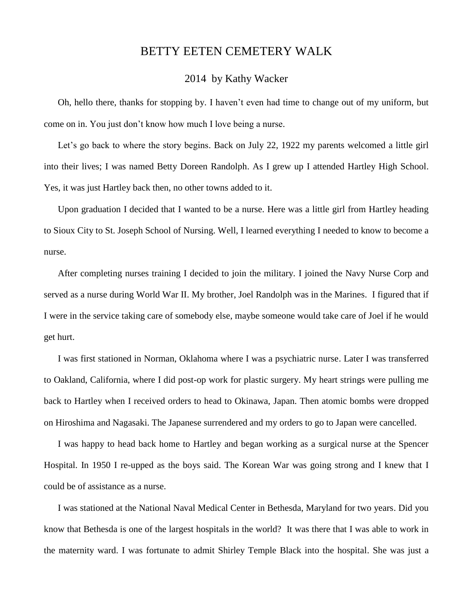## BETTY EETEN CEMETERY WALK

## 2014 by Kathy Wacker

Oh, hello there, thanks for stopping by. I haven't even had time to change out of my uniform, but come on in. You just don't know how much I love being a nurse.

Let's go back to where the story begins. Back on July 22, 1922 my parents welcomed a little girl into their lives; I was named Betty Doreen Randolph. As I grew up I attended Hartley High School. Yes, it was just Hartley back then, no other towns added to it.

Upon graduation I decided that I wanted to be a nurse. Here was a little girl from Hartley heading to Sioux City to St. Joseph School of Nursing. Well, I learned everything I needed to know to become a nurse.

After completing nurses training I decided to join the military. I joined the Navy Nurse Corp and served as a nurse during World War II. My brother, Joel Randolph was in the Marines. I figured that if I were in the service taking care of somebody else, maybe someone would take care of Joel if he would get hurt.

I was first stationed in Norman, Oklahoma where I was a psychiatric nurse. Later I was transferred to Oakland, California, where I did post-op work for plastic surgery. My heart strings were pulling me back to Hartley when I received orders to head to Okinawa, Japan. Then atomic bombs were dropped on Hiroshima and Nagasaki. The Japanese surrendered and my orders to go to Japan were cancelled.

I was happy to head back home to Hartley and began working as a surgical nurse at the Spencer Hospital. In 1950 I re-upped as the boys said. The Korean War was going strong and I knew that I could be of assistance as a nurse.

I was stationed at the National Naval Medical Center in Bethesda, Maryland for two years. Did you know that Bethesda is one of the largest hospitals in the world? It was there that I was able to work in the maternity ward. I was fortunate to admit Shirley Temple Black into the hospital. She was just a